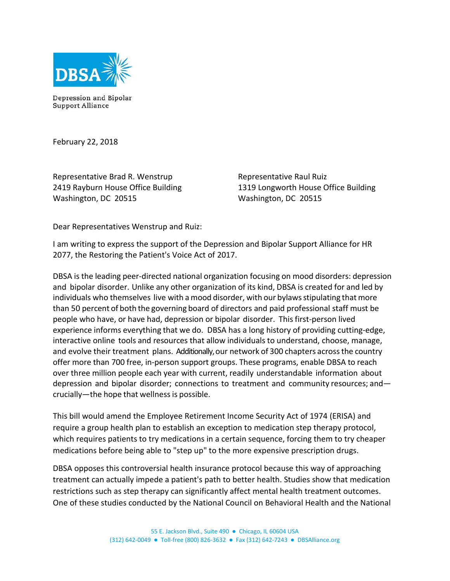

Depression and Bipolar **Support Alliance** 

February 22, 2018

Representative Brad R. Wenstrup 2419 Rayburn House Office Building Washington, DC 20515

Representative Raul Ruiz 1319 Longworth House Office Building Washington, DC 20515

Dear Representatives Wenstrup and Ruiz:

I am writing to express the support of the Depression and Bipolar Support Alliance for HR 2077, the Restoring the Patient's Voice Act of 2017.

DBSA is the leading peer-directed national organization focusing on mood disorders: depression and bipolar disorder. Unlike any other organization of its kind, DBSA is created for and led by individuals who themselves live with a mood disorder, with our bylawsstipulating that more than 50 percent of both the governing board of directors and paid professional staff must be people who have, or have had, depression or bipolar disorder. This first-person lived experience informs everything that we do. DBSA has a long history of providing cutting-edge, interactive online tools and resources that allow individuals to understand, choose, manage, and evolve their treatment plans. Additionally, our network of 300 chapters across the country offer more than 700 free, in-person support groups. These programs, enable DBSA to reach over three million people each year with current, readily understandable information about depression and bipolar disorder; connections to treatment and community resources; and crucially—the hope that wellnessis possible.

This bill would amend the Employee Retirement Income Security Act of 1974 (ERISA) and require a group health plan to establish an exception to medication step therapy protocol, which requires patients to try medications in a certain sequence, forcing them to try cheaper medications before being able to "step up" to the more expensive prescription drugs.

DBSA opposes this controversial health insurance protocol because this way of approaching treatment can actually impede a patient's path to better health. Studies show that medication restrictions such as step therapy can significantly affect mental health treatment outcomes. One of these studies conducted by the National Council on Behavioral Health and the National